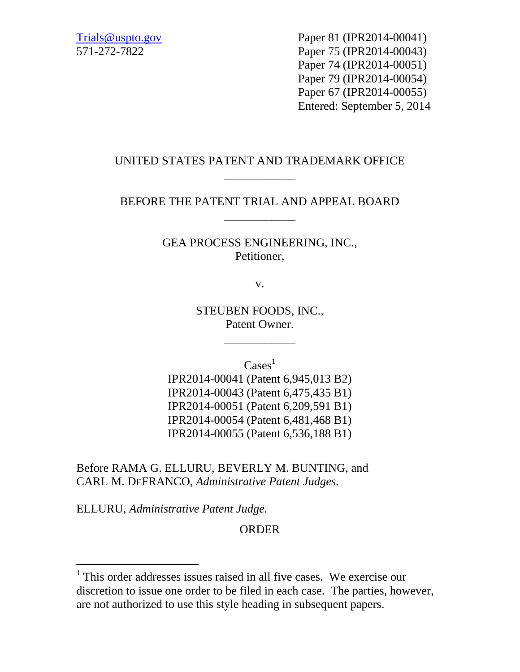Trials@uspto.gov Paper 81 (IPR2014-00041) 571-272-7822 Paper 75 (IPR2014-00043) Paper 74 (IPR2014-00051) Paper 79 (IPR2014-00054) Paper 67 (IPR2014-00055) Entered: September 5, 2014

## UNITED STATES PATENT AND TRADEMARK OFFICE \_\_\_\_\_\_\_\_\_\_\_\_

## BEFORE THE PATENT TRIAL AND APPEAL BOARD \_\_\_\_\_\_\_\_\_\_\_\_

GEA PROCESS ENGINEERING, INC., Petitioner,

v.

STEUBEN FOODS, INC., Patent Owner.

\_\_\_\_\_\_\_\_\_\_\_\_

 $\text{Case} \}^1$ 

IPR2014-00041 (Patent 6,945,013 B2) IPR2014-00043 (Patent 6,475,435 B1) IPR2014-00051 (Patent 6,209,591 B1) IPR2014-00054 (Patent 6,481,468 B1) IPR2014-00055 (Patent 6,536,188 B1)

Before RAMA G. ELLURU, BEVERLY M. BUNTING, and CARL M. DEFRANCO, *Administrative Patent Judges.*

ELLURU, *Administrative Patent Judge.*

l

ORDER

<sup>&</sup>lt;sup>1</sup> This order addresses issues raised in all five cases. We exercise our discretion to issue one order to be filed in each case. The parties, however, are not authorized to use this style heading in subsequent papers.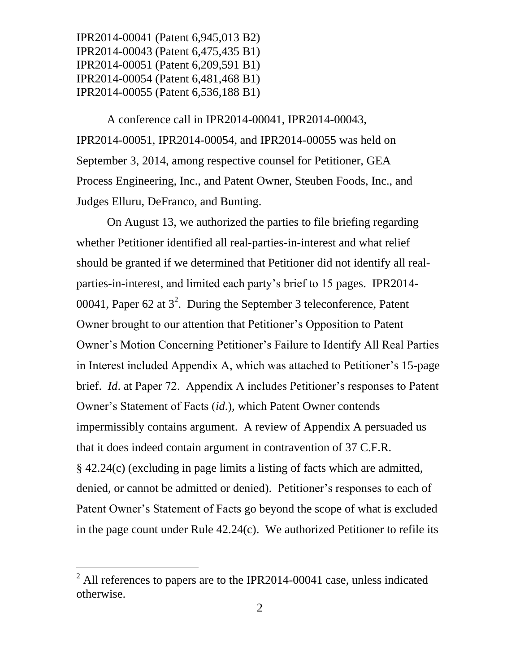A conference call in IPR2014-00041, IPR2014-00043, IPR2014-00051, IPR2014-00054, and IPR2014-00055 was held on September 3, 2014, among respective counsel for Petitioner, GEA Process Engineering, Inc., and Patent Owner, Steuben Foods, Inc., and Judges Elluru, DeFranco, and Bunting.

On August 13, we authorized the parties to file briefing regarding whether Petitioner identified all real-parties-in-interest and what relief should be granted if we determined that Petitioner did not identify all realparties-in-interest, and limited each party's brief to 15 pages. IPR2014- 00041, Paper 62 at  $3^2$ . During the September 3 teleconference, Patent Owner brought to our attention that Petitioner's Opposition to Patent Owner's Motion Concerning Petitioner's Failure to Identify All Real Parties in Interest included Appendix A, which was attached to Petitioner's 15-page brief. *Id*. at Paper 72. Appendix A includes Petitioner's responses to Patent Owner's Statement of Facts (*id*.), which Patent Owner contends impermissibly contains argument. A review of Appendix A persuaded us that it does indeed contain argument in contravention of 37 C.F.R. § 42.24(c) (excluding in page limits a listing of facts which are admitted, denied, or cannot be admitted or denied). Petitioner's responses to each of Patent Owner's Statement of Facts go beyond the scope of what is excluded in the page count under Rule 42.24(c). We authorized Petitioner to refile its

l

 $<sup>2</sup>$  All references to papers are to the IPR2014-00041 case, unless indicated</sup> otherwise.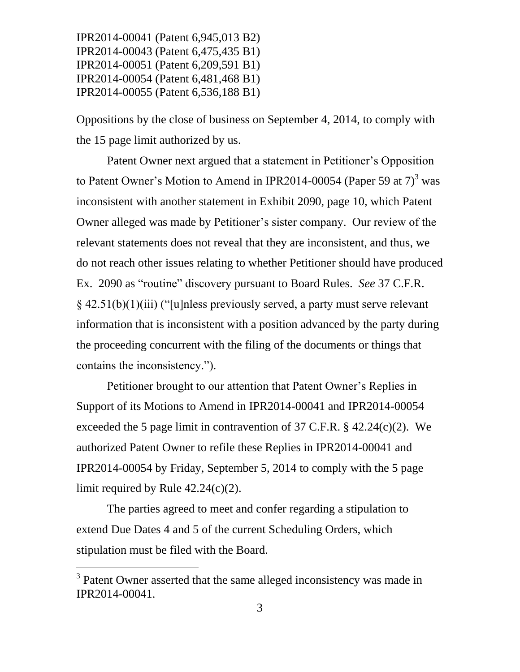Oppositions by the close of business on September 4, 2014, to comply with the 15 page limit authorized by us.

Patent Owner next argued that a statement in Petitioner's Opposition to Patent Owner's Motion to Amend in IPR2014-00054 (Paper 59 at  $7<sup>3</sup>$  was inconsistent with another statement in Exhibit 2090, page 10, which Patent Owner alleged was made by Petitioner's sister company. Our review of the relevant statements does not reveal that they are inconsistent, and thus, we do not reach other issues relating to whether Petitioner should have produced Ex. 2090 as "routine" discovery pursuant to Board Rules. *See* 37 C.F.R. § 42.51(b)(1)(iii) ("[u]nless previously served, a party must serve relevant information that is inconsistent with a position advanced by the party during the proceeding concurrent with the filing of the documents or things that contains the inconsistency.").

Petitioner brought to our attention that Patent Owner's Replies in Support of its Motions to Amend in IPR2014-00041 and IPR2014-00054 exceeded the 5 page limit in contravention of 37 C.F.R.  $\S$  42.24(c)(2). We authorized Patent Owner to refile these Replies in IPR2014-00041 and IPR2014-00054 by Friday, September 5, 2014 to comply with the 5 page limit required by Rule 42.24(c)(2).

The parties agreed to meet and confer regarding a stipulation to extend Due Dates 4 and 5 of the current Scheduling Orders, which stipulation must be filed with the Board.

l

<sup>&</sup>lt;sup>3</sup> Patent Owner asserted that the same alleged inconsistency was made in IPR2014-00041.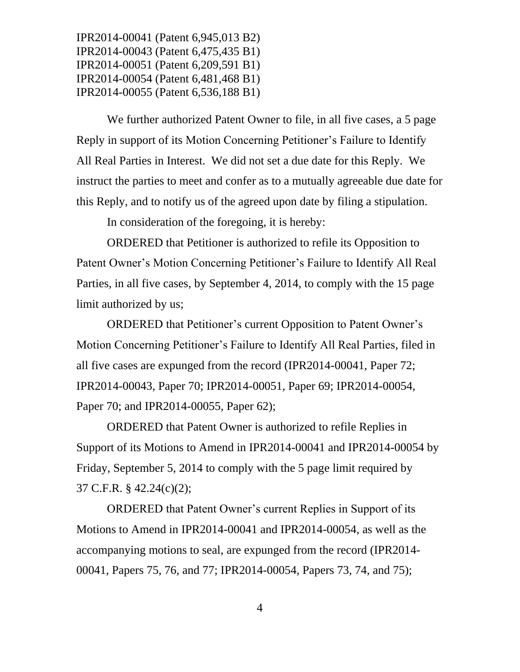We further authorized Patent Owner to file, in all five cases, a 5 page Reply in support of its Motion Concerning Petitioner's Failure to Identify All Real Parties in Interest. We did not set a due date for this Reply. We instruct the parties to meet and confer as to a mutually agreeable due date for this Reply, and to notify us of the agreed upon date by filing a stipulation.

In consideration of the foregoing, it is hereby:

ORDERED that Petitioner is authorized to refile its Opposition to Patent Owner's Motion Concerning Petitioner's Failure to Identify All Real Parties, in all five cases, by September 4, 2014, to comply with the 15 page limit authorized by us;

ORDERED that Petitioner's current Opposition to Patent Owner's Motion Concerning Petitioner's Failure to Identify All Real Parties, filed in all five cases are expunged from the record (IPR2014-00041, Paper 72; IPR2014-00043, Paper 70; IPR2014-00051, Paper 69; IPR2014-00054, Paper 70; and IPR2014-00055, Paper 62);

ORDERED that Patent Owner is authorized to refile Replies in Support of its Motions to Amend in IPR2014-00041 and IPR2014-00054 by Friday, September 5, 2014 to comply with the 5 page limit required by 37 C.F.R. § 42.24(c)(2);

ORDERED that Patent Owner's current Replies in Support of its Motions to Amend in IPR2014-00041 and IPR2014-00054, as well as the accompanying motions to seal, are expunged from the record (IPR2014- 00041, Papers 75, 76, and 77; IPR2014-00054, Papers 73, 74, and 75);

4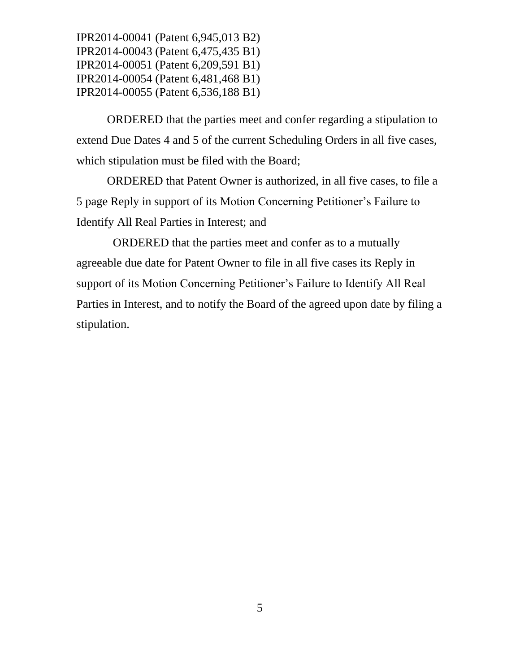ORDERED that the parties meet and confer regarding a stipulation to extend Due Dates 4 and 5 of the current Scheduling Orders in all five cases, which stipulation must be filed with the Board;

ORDERED that Patent Owner is authorized, in all five cases, to file a 5 page Reply in support of its Motion Concerning Petitioner's Failure to Identify All Real Parties in Interest; and

 ORDERED that the parties meet and confer as to a mutually agreeable due date for Patent Owner to file in all five cases its Reply in support of its Motion Concerning Petitioner's Failure to Identify All Real Parties in Interest, and to notify the Board of the agreed upon date by filing a stipulation.